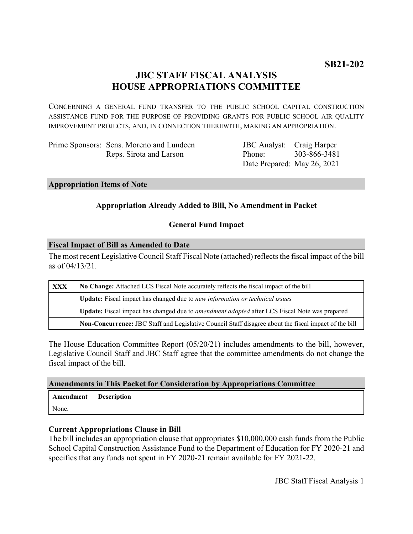# **JBC STAFF FISCAL ANALYSIS HOUSE APPROPRIATIONS COMMITTEE**

CONCERNING A GENERAL FUND TRANSFER TO THE PUBLIC SCHOOL CAPITAL CONSTRUCTION ASSISTANCE FUND FOR THE PURPOSE OF PROVIDING GRANTS FOR PUBLIC SCHOOL AIR QUALITY IMPROVEMENT PROJECTS, AND, IN CONNECTION THEREWITH, MAKING AN APPROPRIATION.

Prime Sponsors: Sens. Moreno and Lundeen Reps. Sirota and Larson

JBC Analyst: Craig Harper Phone: Date Prepared: May 26, 2021 303-866-3481

# **Appropriation Items of Note**

# **Appropriation Already Added to Bill, No Amendment in Packet**

# **General Fund Impact**

#### **Fiscal Impact of Bill as Amended to Date**

The most recent Legislative Council Staff Fiscal Note (attached) reflects the fiscal impact of the bill as of 04/13/21.

| XXX | No Change: Attached LCS Fiscal Note accurately reflects the fiscal impact of the bill                 |
|-----|-------------------------------------------------------------------------------------------------------|
|     | Update: Fiscal impact has changed due to new information or technical issues                          |
|     | Update: Fiscal impact has changed due to <i>amendment adopted</i> after LCS Fiscal Note was prepared  |
|     | Non-Concurrence: JBC Staff and Legislative Council Staff disagree about the fiscal impact of the bill |

The House Education Committee Report (05/20/21) includes amendments to the bill, however, Legislative Council Staff and JBC Staff agree that the committee amendments do not change the fiscal impact of the bill.

# **Amendments in This Packet for Consideration by Appropriations Committee**

| Amendment | <b>Description</b> |
|-----------|--------------------|
| None.     |                    |

# **Current Appropriations Clause in Bill**

The bill includes an appropriation clause that appropriates \$10,000,000 cash funds from the Public School Capital Construction Assistance Fund to the Department of Education for FY 2020-21 and specifies that any funds not spent in FY 2020-21 remain available for FY 2021-22.